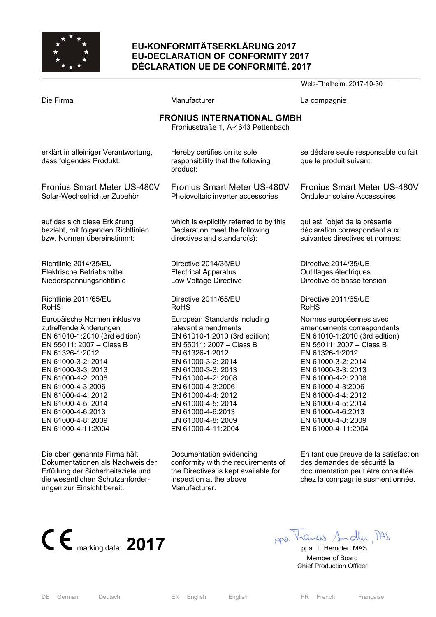

# **EU-KONFORMITÄTSERKLÄRUNG 2017 EU-DECLARATION OF CONFORMITY 2017 DÉCLARATION UE DE CONFORMITÉ, 2017**

Wels-Thalheim, 2017-10-30 Die Firma and Compagnie Manufacturer Company La compagnie **FRONIUS INTERNATIONAL GMBH**  Froniusstraße 1, A-4643 Pettenbach erklärt in alleiniger Verantwortung, dass folgendes Produkt: Fronius Smart Meter US-480V Solar-Wechselrichter Zubehör auf das sich diese Erklärung bezieht, mit folgenden Richtlinien bzw. Normen übereinstimmt: Richtlinie 2014/35/EU Elektrische Betriebsmittel Niederspannungsrichtlinie Richtlinie 2011/65/EU RoHS Europäische Normen inklusive zutreffende Änderungen EN 61010-1:2010 (3rd edition) EN 55011: 2007 – Class B EN 61326-1:2012 EN 61000-3-2: 2014 EN 61000-3-3: 2013 EN 61000-4-2: 2008 EN 61000-4-3:2006 EN 61000-4-4: 2012 EN 61000-4-5: 2014 EN 61000-4-6:2013 EN 61000-4-8: 2009 EN 61000-4-11:2004 Die oben genannte Firma hält Hereby certifies on its sole responsibility that the following product: Fronius Smart Meter US-480V Photovoltaic inverter accessories which is explicitly referred to by this Declaration meet the following directives and standard(s): Directive 2014/35/EU Electrical Apparatus Low Voltage Directive Directive 2011/65/EU RoHS European Standards including relevant amendments EN 61010-1:2010 (3rd edition) EN 55011: 2007 – Class B EN 61326-1:2012 EN 61000-3-2: 2014 EN 61000-3-3: 2013 EN 61000-4-2: 2008 EN 61000-4-3:2006 EN 61000-4-4: 2012 EN 61000-4-5: 2014 EN 61000-4-6:2013 EN 61000-4-8: 2009 EN 61000-4-11:2004 Documentation evidencing se déclare seule responsable du fait que le produit suivant: Fronius Smart Meter US-480V Onduleur solaire Accessoires qui est l'objet de la présente déclaration correspondent aux suivantes directives et normes: Directive 2014/35/UE Outillages électriques Directive de basse tension Directive 2011/65/UE RoHS Normes européennes avec amendements correspondants EN 61010-1:2010 (3rd edition) EN 55011: 2007 – Class B EN 61326-1:2012 EN 61000-3-2: 2014 EN 61000-3-3: 2013 EN 61000-4-2: 2008 EN 61000-4-3:2006 EN 61000-4-4: 2012 EN 61000-4-5: 2014 EN 61000-4-6:2013 EN 61000-4-8: 2009 EN 61000-4-11:2004 En tant que preuve de la satisfaction

Dokumentationen als Nachweis der Erfüllung der Sicherheitsziele und die wesentlichen Schutzanforderungen zur Einsicht bereit.

conformity with the requirements of the Directives is kept available for inspection at the above Manufacturer.

des demandes de sécurité la documentation peut être consultée chez la compagnie susmentionnée.



 Member of Board Chief Production Officer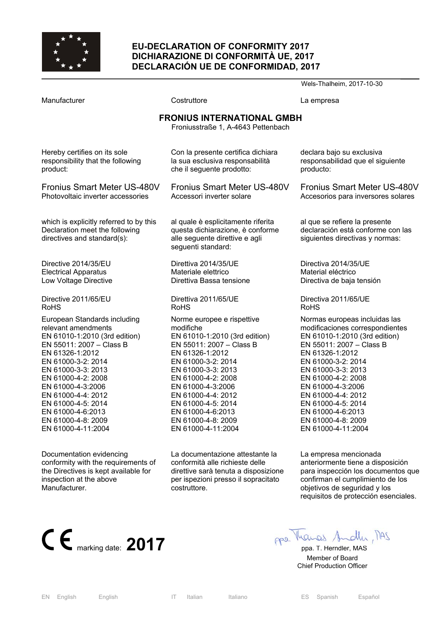

#### **EU-DECLARATION OF CONFORMITY 2017 DICHIARAZIONE DI CONFORMITÀ UE, 2017 DECLARACIÓN UE DE CONFORMIDAD, 2017**

Wels-Thalheim, 2017-10-30 Manufacturer **Costruttore** Costruttore **La empresa FRONIUS INTERNATIONAL GMBH**  Froniusstraße 1, A-4643 Pettenbach Hereby certifies on its sole responsibility that the following product: Fronius Smart Meter US-480V Photovoltaic inverter accessories which is explicitly referred to by this Declaration meet the following directives and standard(s): Directive 2014/35/EU Electrical Apparatus Low Voltage Directive Directive 2011/65/EU RoHS European Standards including relevant amendments EN 61010-1:2010 (3rd edition) EN 55011: 2007 – Class B EN 61326-1:2012 EN 61000-3-2: 2014 EN 61000-3-3: 2013 EN 61000-4-2: 2008 EN 61000-4-3:2006 EN 61000-4-4: 2012 EN 61000-4-5: 2014 EN 61000-4-6:2013 EN 61000-4-8: 2009 EN 61000-4-11:2004 Documentation evidencing conformity with the requirements of the Directives is kept available for inspection at the above Manufacturer. Con la presente certifica dichiara la sua esclusiva responsabilità che il seguente prodotto: Fronius Smart Meter US-480V Accessori inverter solare al quale è esplicitamente riferita questa dichiarazione, è conforme alle seguente direttive e agli seguenti standard: Direttiva 2014/35/UE Materiale elettrico Direttiva Bassa tensione Direttiva 2011/65/UE RoHS Norme europee e rispettive modifiche EN 61010-1:2010 (3rd edition) EN 55011: 2007 – Class B EN 61326-1:2012 EN 61000-3-2: 2014 EN 61000-3-3: 2013 EN 61000-4-2: 2008 EN 61000-4-3:2006 EN 61000-4-4: 2012 EN 61000-4-5: 2014 EN 61000-4-6:2013 EN 61000-4-8: 2009 EN 61000-4-11:2004 La documentazione attestante la conformità alle richieste delle direttive sarà tenuta a disposizione per ispezioni presso il sopracitato costruttore. declara bajo su exclusiva responsabilidad que el siguiente producto: Fronius Smart Meter US-480V Accesorios para inversores solares al que se refiere la presente declaración está conforme con las siguientes directivas y normas: Directiva 2014/35/UE Material eléctrico Directiva de baja tensión Directiva 2011/65/UE RoHS Normas europeas incluidas las modificaciones correspondientes EN 61010-1:2010 (3rd edition) EN 55011: 2007 – Class B EN 61326-1:2012 EN 61000-3-2: 2014 EN 61000-3-3: 2013 EN 61000-4-2: 2008 EN 61000-4-3:2006 EN 61000-4-4: 2012 EN 61000-4-5: 2014 EN 61000-4-6:2013 EN 61000-4-8: 2009 EN 61000-4-11:2004 La empresa mencionada anteriormente tiene a disposición para inspección los documentos que confirman el cumplimiento de los objetivos de seguridad y los requisitos de protección esenciales.



 Member of Board Chief Production Officer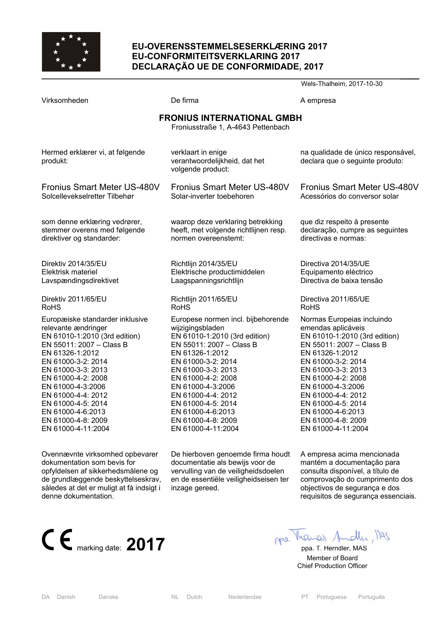

### **EU-OVERENSSTEMMELSESERKLÆRING 2017 EU-CONFORMITEITSVERKLARING 2017 DECLARAÇÃO UE DE CONFORMIDADE, 2017**

Wels-Thalheim, 2017-10-30 Virksomheden **De firma** De firma A empresa **FRONIUS INTERNATIONAL GMBH**  Froniusstraße 1, A-4643 Pettenbach Hermed erklærer vi, at følgende produkt: Fronius Smart Meter US-480V Solcellevekselretter Tilbehør som denne erklæring vedrører, stemmer overens med følgende direktiver og standarder: Direktiv 2014/35/EU Elektrisk materiel Lavspændingsdirektivet Direktiv 2011/65/EU RoHS Europæiske standarder inklusive relevante ændringer EN 61010-1:2010 (3rd edition) EN 55011: 2007 – Class B EN 61326-1:2012 EN 61000-3-2: 2014 EN 61000-3-3: 2013 EN 61000-4-2: 2008 EN 61000-4-3:2006 EN 61000-4-4: 2012 EN 61000-4-5: 2014 EN 61000-4-6:2013 EN 61000-4-8: 2009 EN 61000-4-11:2004 verklaart in enige verantwoordelijkheid, dat het volgende product: Fronius Smart Meter US-480V Solar-inverter toebehoren waarop deze verklaring betrekking heeft, met volgende richtlijnen resp. normen overeenstemt: Richtlijn 2014/35/EU Elektrische productimiddelen Laagspanningsrichtlijn Richtlijn 2011/65/EU RoHS Europese normen incl. bijbehorende wijzigingsbladen EN 61010-1:2010 (3rd edition) EN 55011: 2007 – Class B EN 61326-1:2012 EN 61000-3-2: 2014 EN 61000-3-3: 2013 EN 61000-4-2: 2008 EN 61000-4-3:2006 EN 61000-4-4: 2012 EN 61000-4-5: 2014 EN 61000-4-6:2013 EN 61000-4-8: 2009 EN 61000-4-11:2004 na qualidade de único responsável, declara que o seguinte produto: Fronius Smart Meter US-480V Acessórios do conversor solar que diz respeito à presente declaração, cumpre as seguintes directivas e normas: Directiva 2014/35/UE Equipamento eléctrico Directiva de baixa tensão Directiva 2011/65/UE RoHS Normas Europeias incluindo emendas aplicáveis EN 61010-1:2010 (3rd edition) EN 55011: 2007 – Class B EN 61326-1:2012 EN 61000-3-2: 2014 EN 61000-3-3: 2013 EN 61000-4-2: 2008 EN 61000-4-3:2006 EN 61000-4-4: 2012 EN 61000-4-5: 2014 EN 61000-4-6:2013 EN 61000-4-8: 2009 EN 61000-4-11:2004

Ovennævnte virksomhed opbevarer dokumentation som bevis for opfyldelsen af sikkerhedsmålene og de grundlæggende beskyttelseskrav, således at det er muligt at få indsigt i denne dokumentation.



A empresa acima mencionada mantém a documentação para consulta disponível, a título de comprovação do cumprimento dos objectivos de segurança e dos requisitos de segurança essenciais.



 Member of Board Chief Production Officer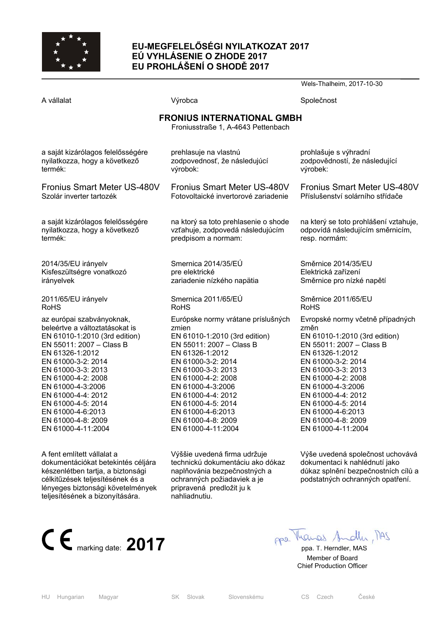

# **EU-MEGFELELŐSÉGI NYILATKOZAT 2017 EÚ VYHLÁSENIE O ZHODE 2017 EU PROHLÁŠENÍ O SHODĚ 2017**

Wels-Thalheim, 2017-10-30 A vállalat Společnost Nýrobca Společnost Společnost Společnost Společnost Společnost Společnost Společnost Společnost Společnost Společnost Společnost Společnost Společnost Společnost Společnost Společnost Společnost Spole **FRONIUS INTERNATIONAL GMBH**  Froniusstraße 1, A-4643 Pettenbach a saját kizárólagos felelősségére nyilatkozza, hogy a következő termék: Fronius Smart Meter US-480V Szolár inverter tartozék a saját kizárólagos felelősségére nyilatkozza, hogy a következő termék: 2014/35/EU irányelv Kisfeszültségre vonatkozó irányelvek 2011/65/EU irányelv RoHS az európai szabványoknak, beleértve a változtatásokat is EN 61010-1:2010 (3rd edition) EN 55011: 2007 – Class B EN 61326-1:2012 EN 61000-3-2: 2014 EN 61000-3-3: 2013 EN 61000-4-2: 2008 EN 61000-4-3:2006 EN 61000-4-4: 2012 EN 61000-4-5: 2014 EN 61000-4-6:2013 EN 61000-4-8: 2009 EN 61000-4-11:2004 prehlasuje na vlastnú zodpovednosť, že následujúcí výrobok: Fronius Smart Meter US-480V Fotovoltaické invertorové zariadenie na ktorý sa toto prehlasenie o shode vzťahuje, zodpovedá následujúcím predpisom a normam: Smernica 2014/35/EÚ pre elektrické zariadenie nízkého napätia Smernica 2011/65/EÚ RoHS Európske normy vrátane príslušných zmien EN 61010-1:2010 (3rd edition) EN 55011: 2007 – Class B EN 61326-1:2012 EN 61000-3-2: 2014 EN 61000-3-3: 2013 EN 61000-4-2: 2008 EN 61000-4-3:2006 EN 61000-4-4: 2012 EN 61000-4-5: 2014 EN 61000-4-6:2013 EN 61000-4-8: 2009 EN 61000-4-11:2004 prohlašuje s výhradní zodpovědností, že následující výrobek: Fronius Smart Meter US-480V Příslušenství solárního střídače na který se toto prohlášení vztahuje, odpovídá následujícím směrnicím, resp. normám: Směrnice 2014/35/EU Elektrická zařízení Směrnice pro nízké napětí Směrnice 2011/65/EU RoHS Evropské normy včetně případných změn EN 61010-1:2010 (3rd edition) EN 55011: 2007 – Class B EN 61326-1:2012 EN 61000-3-2: 2014 EN 61000-3-3: 2013 EN 61000-4-2: 2008 EN 61000-4-3:2006 EN 61000-4-4: 2012 EN 61000-4-5: 2014 EN 61000-4-6:2013 EN 61000-4-8: 2009 EN 61000-4-11:2004

A fent említett vállalat a dokumentációkat betekintés céljára készenlétben tartja, a biztonsági célkitűzések teljesítésének és a lényeges biztonsági követelmények teljesítésének a bizonyítására.

Výššie uvedená firma udržuje technickú dokumentáciu ako dókaz naplňovánia bezpečnostných a ochranných požiadaviek a je pripravená predložit ju k nahliadnutiu.

Výše uvedená společnost uchovává dokumentaci k nahlédnutí jako důkaz splnění bezpečnostních cílů a podstatných ochranných opatření.



 Member of Board Chief Production Officer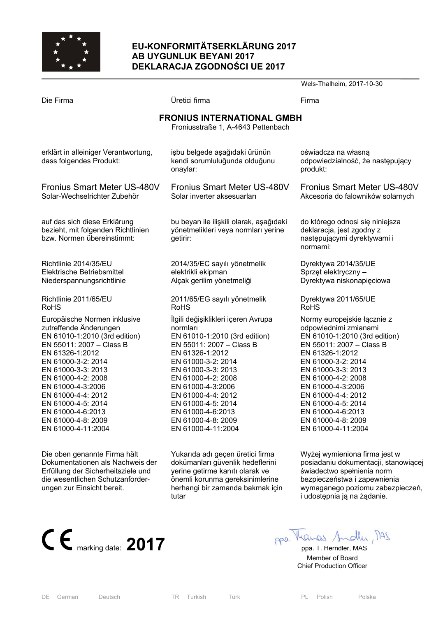

## **EU-KONFORMITÄTSERKLÄRUNG 2017 AB UYGUNLUK BEYANI 2017 DEKLARACJA ZGODNOŚCI UE 2017**

Wels-Thalheim, 2017-10-30 Die Firma Üretici firma Firma **FRONIUS INTERNATIONAL GMBH**  Froniusstraße 1, A-4643 Pettenbach erklärt in alleiniger Verantwortung, dass folgendes Produkt: Fronius Smart Meter US-480V Solar-Wechselrichter Zubehör auf das sich diese Erklärung bezieht, mit folgenden Richtlinien bzw. Normen übereinstimmt: Richtlinie 2014/35/EU Elektrische Betriebsmittel Niederspannungsrichtlinie Richtlinie 2011/65/EU RoHS Europäische Normen inklusive zutreffende Änderungen EN 61010-1:2010 (3rd edition) EN 55011: 2007 – Class B EN 61326-1:2012 EN 61000-3-2: 2014 EN 61000-3-3: 2013 EN 61000-4-2: 2008 EN 61000-4-3:2006 EN 61000-4-4: 2012 EN 61000-4-5: 2014 EN 61000-4-6:2013 EN 61000-4-8: 2009 EN 61000-4-11:2004 işbu belgede aşağıdaki ürünün kendi sorumluluğunda olduğunu onaylar: Fronius Smart Meter US-480V Solar inverter aksesuarları bu beyan ile ilişkili olarak, aşağıdaki yönetmelikleri veya normları yerine getirir: 2014/35/EC sayılı yönetmelik elektrikli ekipman Alçak gerilim yönetmeliği 2011/65/EG sayılı yönetmelik RoHS İlgili değişiklikleri içeren Avrupa normları EN 61010-1:2010 (3rd edition) EN 55011: 2007 – Class B EN 61326-1:2012 EN 61000-3-2: 2014 EN 61000-3-3: 2013 EN 61000-4-2: 2008 EN 61000-4-3:2006 EN 61000-4-4: 2012 EN 61000-4-5: 2014 EN 61000-4-6:2013 EN 61000-4-8: 2009 EN 61000-4-11:2004 oświadcza na własną odpowiedzialność, że następujący produkt: Fronius Smart Meter US-480V Akcesoria do falowników solarnych do którego odnosi się niniejsza deklaracia, jest zgodny z następującymi dyrektywami i normami: Dyrektywa 2014/35/UE Sprzęt elektryczny – Dyrektywa niskonapięciowa Dyrektywa 2011/65/UE RoHS Normy europejskie łącznie z odpowiednimi zmianami EN 61010-1:2010 (3rd edition) EN 55011: 2007 – Class B EN 61326-1:2012 EN 61000-3-2: 2014 EN 61000-3-3: 2013 EN 61000-4-2: 2008 EN 61000-4-3:2006 EN 61000-4-4: 2012 EN 61000-4-5: 2014 EN 61000-4-6:2013 EN 61000-4-8: 2009 EN 61000-4-11:2004

Die oben genannte Firma hält Dokumentationen als Nachweis der Erfüllung der Sicherheitsziele und die wesentlichen Schutzanforderungen zur Einsicht bereit. Yukarıda adı geçen üretici firma dokümanları güvenlik hedeflerini yerine getirme kanıtı olarak ve önemli korunma gereksinimlerine herhangi bir zamanda bakmak için tutar

Wyżej wymieniona firma jest w posiadaniu dokumentacji, stanowiącej świadectwo spełnienia norm bezpieczeństwa i zapewnienia wymaganego poziomu zabezpieczeń, i udostępnia ją na żądanie.



 Member of Board Chief Production Officer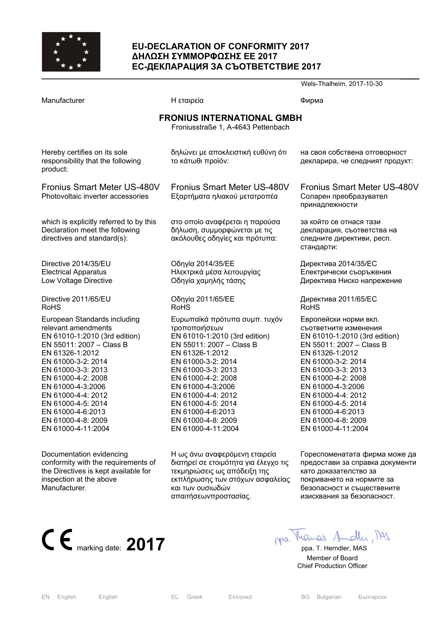

# **EU-DECLARATION OF CONFORMITY 2017 ∆ΗΛΩΣΗ ΣΥΜΜΟΡΦΩΣΗΣ ΕΕ 2017 ЕС-ДЕКЛАРАЦИЯ ЗА СЪОТВЕТСТВИЕ 2017**

|                                                                                                                                                                                                                                                                                                                                         |                                                                                                                                                                                                                                                                                                                                    | Wels-Thalheim, 2017-10-30                                                                                                                                                                                                                                                                                                          |
|-----------------------------------------------------------------------------------------------------------------------------------------------------------------------------------------------------------------------------------------------------------------------------------------------------------------------------------------|------------------------------------------------------------------------------------------------------------------------------------------------------------------------------------------------------------------------------------------------------------------------------------------------------------------------------------|------------------------------------------------------------------------------------------------------------------------------------------------------------------------------------------------------------------------------------------------------------------------------------------------------------------------------------|
| Manufacturer                                                                                                                                                                                                                                                                                                                            | Η εταιρεία                                                                                                                                                                                                                                                                                                                         | Фирма                                                                                                                                                                                                                                                                                                                              |
|                                                                                                                                                                                                                                                                                                                                         | <b>FRONIUS INTERNATIONAL GMBH</b><br>Froniusstraße 1, A-4643 Pettenbach                                                                                                                                                                                                                                                            |                                                                                                                                                                                                                                                                                                                                    |
| Hereby certifies on its sole<br>responsibility that the following<br>product:                                                                                                                                                                                                                                                           | δηλώνει με αποκλειστική ευθύνη ότι<br>το κάτωθι προϊόν:                                                                                                                                                                                                                                                                            | на своя собствена отговорност<br>декларира, че следният продукт:                                                                                                                                                                                                                                                                   |
| <b>Fronius Smart Meter US-480V</b><br>Photovoltaic inverter accessories                                                                                                                                                                                                                                                                 | <b>Fronius Smart Meter US-480V</b><br>Εξαρτήματα ηλιακού μετατροπέα                                                                                                                                                                                                                                                                | <b>Fronius Smart Meter US-480V</b><br>Соларен преобразувател<br>принадлежности                                                                                                                                                                                                                                                     |
| which is explicitly referred to by this<br>Declaration meet the following<br>directives and standard(s):                                                                                                                                                                                                                                | στο οποίο αναφέρεται η παρούσα<br>δήλωση, συμμορφώνεται με τις<br>ακόλουθες οδηγίες και πρότυπα:                                                                                                                                                                                                                                   | за който се отнася тази<br>декларация, съответства на<br>следните директиви, респ.<br>стандарти:                                                                                                                                                                                                                                   |
| Directive 2014/35/EU<br><b>Electrical Apparatus</b><br>Low Voltage Directive                                                                                                                                                                                                                                                            | Οδηγία 2014/35/ΕΕ<br>Ηλεκτρικά μέσα λειτουργίας<br>Οδηγία χαμηλής τάσης                                                                                                                                                                                                                                                            | Директива 2014/35/ЕС<br>Електрически съоръжения<br>Директива Ниско напрежение                                                                                                                                                                                                                                                      |
| Directive 2011/65/EU<br><b>RoHS</b>                                                                                                                                                                                                                                                                                                     | Οδηγία 2011/65/ΕΕ<br><b>RoHS</b>                                                                                                                                                                                                                                                                                                   | Директива 2011/65/ЕС<br><b>RoHS</b>                                                                                                                                                                                                                                                                                                |
| European Standards including<br>relevant amendments<br>EN 61010-1:2010 (3rd edition)<br>EN 55011: 2007 - Class B<br>EN 61326-1:2012<br>EN 61000-3-2: 2014<br>EN 61000-3-3: 2013<br>EN 61000-4-2: 2008<br>EN 61000-4-3:2006<br>EN 61000-4-4: 2012<br>EN 61000-4-5: 2014<br>EN 61000-4-6:2013<br>EN 61000-4-8: 2009<br>EN 61000-4-11:2004 | Ευρωπαϊκά πρότυπα συμπ. τυχόν<br>τροποποιήσεων<br>EN 61010-1:2010 (3rd edition)<br>EN 55011: 2007 - Class B<br>EN 61326-1:2012<br>EN 61000-3-2: 2014<br>EN 61000-3-3: 2013<br>EN 61000-4-2: 2008<br>EN 61000-4-3:2006<br>EN 61000-4-4: 2012<br>EN 61000-4-5: 2014<br>EN 61000-4-6:2013<br>EN 61000-4-8: 2009<br>EN 61000-4-11:2004 | Европейски норми вкл.<br>съответните изменения<br>EN 61010-1:2010 (3rd edition)<br>EN 55011: 2007 - Class B<br>EN 61326-1:2012<br>EN 61000-3-2: 2014<br>EN 61000-3-3: 2013<br>EN 61000-4-2: 2008<br>EN 61000-4-3:2006<br>EN 61000-4-4: 2012<br>EN 61000-4-5: 2014<br>EN 61000-4-6:2013<br>EN 61000-4-8: 2009<br>EN 61000-4-11:2004 |
| Documentation evidencing<br>conformity with the requirements of<br>the Directives is kept available for<br>inspection at the above                                                                                                                                                                                                      | Η ως άνω αναφερόμενη εταιρεία<br>διατηρεί σε ετοιμότητα για έλεγχο τις<br>τεκμηριώσεις ως απόδειξη της<br>εκπλήρωσης των στόχων ασφαλείας                                                                                                                                                                                          | Гореспоменатата фирма може да<br>предостави за справка документи<br>като доказателство за<br>покриването на нормите за                                                                                                                                                                                                             |



безопасност и съществените изисквания за безопасност.

 Member of Board Chief Production Officer

Manufacturer.

και των ουσιωδών απαιτήσεωνπροστασίας.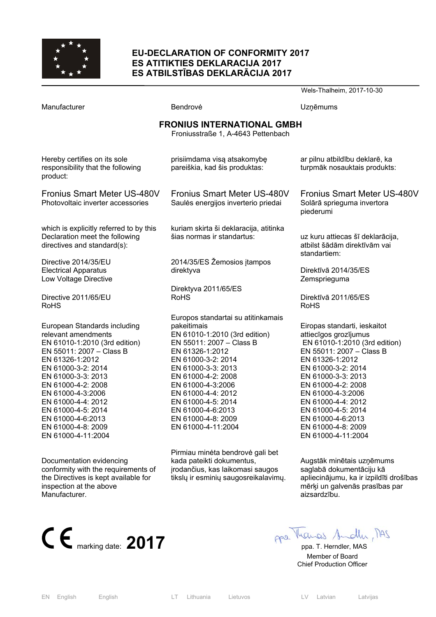

#### **EU-DECLARATION OF CONFORMITY 2017 ES ATITIKTIES DEKLARACIJA 2017 ES ATBILSTĪBAS DEKLARĀCIJA 2017**

|                                                                                                                                                                                                                                                                                                                                         |                                                                                                                                                                                                                                                                                                                                       | Wels-Thalheim, 2017-10-30                                                                                                                                                                                                                                                                                                                 |  |  |
|-----------------------------------------------------------------------------------------------------------------------------------------------------------------------------------------------------------------------------------------------------------------------------------------------------------------------------------------|---------------------------------------------------------------------------------------------------------------------------------------------------------------------------------------------------------------------------------------------------------------------------------------------------------------------------------------|-------------------------------------------------------------------------------------------------------------------------------------------------------------------------------------------------------------------------------------------------------------------------------------------------------------------------------------------|--|--|
| Manufacturer                                                                                                                                                                                                                                                                                                                            | Bendrovė                                                                                                                                                                                                                                                                                                                              | Uzņēmums                                                                                                                                                                                                                                                                                                                                  |  |  |
| <b>FRONIUS INTERNATIONAL GMBH</b><br>Froniusstraße 1, A-4643 Pettenbach                                                                                                                                                                                                                                                                 |                                                                                                                                                                                                                                                                                                                                       |                                                                                                                                                                                                                                                                                                                                           |  |  |
| Hereby certifies on its sole<br>responsibility that the following<br>product:                                                                                                                                                                                                                                                           | prisiimdama visą atsakomybę<br>pareiškia, kad šis produktas:                                                                                                                                                                                                                                                                          | ar pilnu atbildību deklarē, ka<br>turpmāk nosauktais produkts:                                                                                                                                                                                                                                                                            |  |  |
| <b>Fronius Smart Meter US-480V</b><br>Photovoltaic inverter accessories                                                                                                                                                                                                                                                                 | <b>Fronius Smart Meter US-480V</b><br>Saules energijos inverterio priedai                                                                                                                                                                                                                                                             | Fronius Smart Meter US-480V<br>Solārā sprieguma invertora<br>piederumi                                                                                                                                                                                                                                                                    |  |  |
| which is explicitly referred to by this<br>Declaration meet the following<br>directives and standard(s):                                                                                                                                                                                                                                | kuriam skirta ši deklaracija, atitinka<br>šias normas ir standartus:                                                                                                                                                                                                                                                                  | uz kuru attiecas šī deklarācija,<br>atbilst šādām direktīvām vai<br>standartiem:                                                                                                                                                                                                                                                          |  |  |
| Directive 2014/35/EU<br><b>Electrical Apparatus</b><br>Low Voltage Directive                                                                                                                                                                                                                                                            | 2014/35/ES Žemosios įtampos<br>direktyva                                                                                                                                                                                                                                                                                              | Direktīvā 2014/35/ES<br>Zemsprieguma                                                                                                                                                                                                                                                                                                      |  |  |
| Directive 2011/65/EU<br><b>RoHS</b>                                                                                                                                                                                                                                                                                                     | Direktyva 2011/65/ES<br><b>RoHS</b>                                                                                                                                                                                                                                                                                                   | Direktīvā 2011/65/ES<br><b>RoHS</b>                                                                                                                                                                                                                                                                                                       |  |  |
| European Standards including<br>relevant amendments<br>EN 61010-1:2010 (3rd edition)<br>EN 55011: 2007 - Class B<br>EN 61326-1:2012<br>EN 61000-3-2: 2014<br>EN 61000-3-3: 2013<br>EN 61000-4-2: 2008<br>EN 61000-4-3:2006<br>EN 61000-4-4: 2012<br>EN 61000-4-5: 2014<br>EN 61000-4-6:2013<br>EN 61000-4-8: 2009<br>EN 61000-4-11:2004 | Europos standartai su atitinkamais<br>pakeitimais<br>EN 61010-1:2010 (3rd edition)<br>EN 55011: 2007 - Class B<br>EN 61326-1:2012<br>EN 61000-3-2: 2014<br>EN 61000-3-3: 2013<br>EN 61000-4-2: 2008<br>EN 61000-4-3:2006<br>EN 61000-4-4: 2012<br>EN 61000-4-5: 2014<br>EN 61000-4-6:2013<br>EN 61000-4-8: 2009<br>EN 61000-4-11:2004 | Eiropas standarti, ieskaitot<br>attiecīgos grozījumus<br>EN 61010-1:2010 (3rd edition)<br>EN 55011: 2007 - Class B<br>EN 61326-1:2012<br>EN 61000-3-2: 2014<br>EN 61000-3-3: 2013<br>EN 61000-4-2: 2008<br>EN 61000-4-3:2006<br>EN 61000-4-4: 2012<br>EN 61000-4-5: 2014<br>EN 61000-4-6:2013<br>EN 61000-4-8: 2009<br>EN 61000-4-11:2004 |  |  |
| Documentation evidencing<br>conformity with the requirements of<br>the Directives is kept available for<br>inspection at the above<br>Manufacturer.                                                                                                                                                                                     | Pirmiau minėta bendrovė gali bet<br>kada pateikti dokumentus,<br>įrodančius, kas laikomasi saugos<br>tikslų ir esminių saugosreikalavimų.                                                                                                                                                                                             | Augstāk minētais uzņēmums<br>saglabā dokumentāciju kā<br>apliecinājumu, ka ir izpildīti drošības<br>mērķi un galvenās prasības par<br>aizsardzību.                                                                                                                                                                                        |  |  |



 Member of Board Chief Production Officer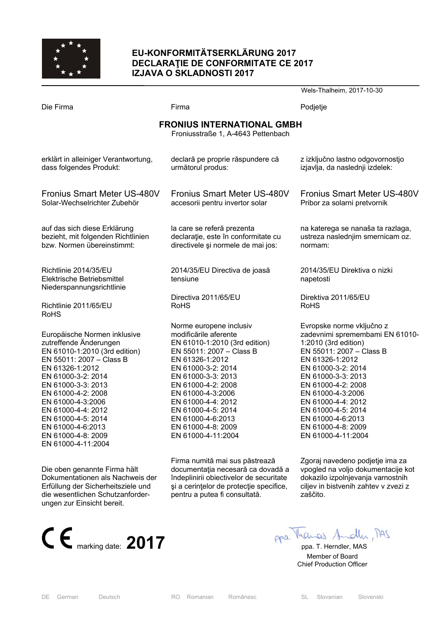

# **EU-KONFORMITÄTSERKLÄRUNG 2017 DECLARAŢIE DE CONFORMITATE CE 2017 IZJAVA O SKLADNOSTI 2017**

|                                                                                  |                                           | Wels-Thalheim, 2017-10-30                 |  |  |
|----------------------------------------------------------------------------------|-------------------------------------------|-------------------------------------------|--|--|
| Die Firma                                                                        | Firma                                     | Podjetje                                  |  |  |
| <b>FRONIUS INTERNATIONAL GMBH</b><br>Froniusstraße 1, A-4643 Pettenbach          |                                           |                                           |  |  |
| erklärt in alleiniger Verantwortung,                                             | declară pe proprie răspundere că          | z izključno lastno odgovornostjo          |  |  |
| dass folgendes Produkt:                                                          | următorul produs:                         | izjavlja, da naslednji izdelek:           |  |  |
| Fronius Smart Meter US-480V                                                      | Fronius Smart Meter US-480V               | <b>Fronius Smart Meter US-480V</b>        |  |  |
| Solar-Wechselrichter Zubehör                                                     | accesorii pentru invertor solar           | Pribor za solarni pretvornik              |  |  |
| auf das sich diese Erklärung                                                     | la care se referă prezenta                | na katerega se nanaša ta razlaga,         |  |  |
| bezieht, mit folgenden Richtlinien                                               | declarație, este în conformitate cu       | ustreza naslednjim smernicam oz.          |  |  |
| bzw. Normen übereinstimmt:                                                       | directivele și normele de mai jos:        | normam:                                   |  |  |
| Richtlinie 2014/35/EU<br>Elektrische Betriebsmittel<br>Niederspannungsrichtlinie | 2014/35/EU Directiva de joasă<br>tensiune | 2014/35/EU Direktiva o nizki<br>napetosti |  |  |
| Richtlinie 2011/65/EU                                                            | Directiva 2011/65/EU                      | Direktiva 2011/65/EU                      |  |  |
| <b>RoHS</b>                                                                      | <b>RoHS</b>                               | <b>RoHS</b>                               |  |  |
| Europäische Normen inklusive                                                     | Norme europene inclusiv                   | Evropske norme vključno z                 |  |  |
| zutreffende Änderungen                                                           | modificările aferente                     | zadevnimi spremembami EN 61010-           |  |  |
| EN 61010-1:2010 (3rd edition)                                                    | EN 61010-1:2010 (3rd edition)             | 1:2010 (3rd edition)                      |  |  |
| EN 55011: 2007 - Class B                                                         | EN 55011: 2007 - Class B                  | EN 55011: 2007 - Class B                  |  |  |
| EN 61326-1:2012                                                                  | EN 61326-1:2012                           | EN 61326-1:2012                           |  |  |
| EN 61000-3-2: 2014                                                               | EN 61000-3-2: 2014                        | EN 61000-3-2: 2014                        |  |  |
| EN 61000-3-3: 2013                                                               | EN 61000-3-3: 2013                        | EN 61000-3-3: 2013                        |  |  |
| EN 61000-4-2: 2008                                                               | EN 61000-4-2: 2008                        | EN 61000-4-2: 2008                        |  |  |
| EN 61000-4-3:2006                                                                | EN 61000-4-3:2006                         | EN 61000-4-3:2006                         |  |  |
| EN 61000-4-4: 2012                                                               | EN 61000-4-4: 2012                        | EN 61000-4-4: 2012                        |  |  |
| EN 61000-4-5: 2014                                                               | EN 61000-4-5: 2014                        | EN 61000-4-5: 2014                        |  |  |
| EN 61000-4-6:2013                                                                | EN 61000-4-6:2013                         | EN 61000-4-6:2013                         |  |  |
| EN 61000-4-8: 2009                                                               | EN 61000-4-8: 2009                        | EN 61000-4-8: 2009                        |  |  |
| EN 61000-4-11:2004                                                               | EN 61000-4-11:2004                        | EN 61000-4-11:2004                        |  |  |
| Die oben genannte Firma hält                                                     | Firma numită mai sus păstrează            | Zgoraj navedeno podjetje ima za           |  |  |
| Dokumentationen als Nachweis der                                                 | documentația necesară ca dovadă a         | vpogled na voljo dokumentacije kot        |  |  |
| Erfüllung der Sicherheitsziele und                                               | îndeplinirii obiectivelor de securitate   | dokazilo izpolnjevanja varnostnih         |  |  |
| die wesentlichen Schutzanforder-                                                 | și a cerințelor de protecție specifice,   | ciljev in bistvenih zahtev v zvezi z      |  |  |
| ungen zur Einsicht bereit.                                                       | pentru a putea fi consultată.             | zaščito.                                  |  |  |



 Member of Board Chief Production Officer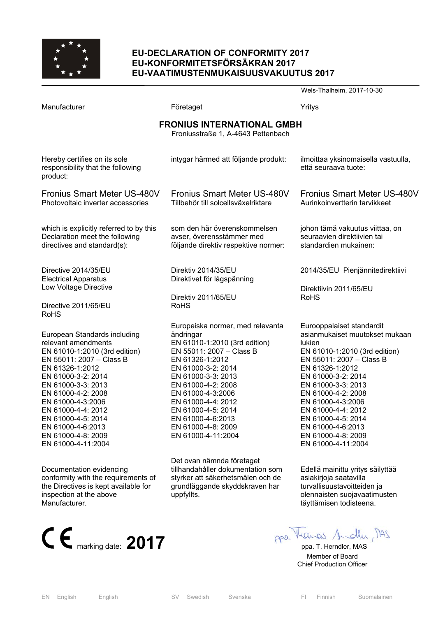

# **EU-DECLARATION OF CONFORMITY 2017 EU-KONFORMITETSFÖRSÄKRAN 2017 EU-VAATIMUSTENMUKAISUUSVAKUUTUS 2017**

|                                                                                                                                                                                                                                                                                                                                                                                                                                                                                                |                                                                                                                                                                                                                                                                                                                                                                                                                                                                                          | Wels-Thalheim, 2017-10-30                                                                                                                                                                                                                                                                                                                                                                                                                                                                                         |
|------------------------------------------------------------------------------------------------------------------------------------------------------------------------------------------------------------------------------------------------------------------------------------------------------------------------------------------------------------------------------------------------------------------------------------------------------------------------------------------------|------------------------------------------------------------------------------------------------------------------------------------------------------------------------------------------------------------------------------------------------------------------------------------------------------------------------------------------------------------------------------------------------------------------------------------------------------------------------------------------|-------------------------------------------------------------------------------------------------------------------------------------------------------------------------------------------------------------------------------------------------------------------------------------------------------------------------------------------------------------------------------------------------------------------------------------------------------------------------------------------------------------------|
| Manufacturer                                                                                                                                                                                                                                                                                                                                                                                                                                                                                   | Företaget                                                                                                                                                                                                                                                                                                                                                                                                                                                                                | Yritys                                                                                                                                                                                                                                                                                                                                                                                                                                                                                                            |
|                                                                                                                                                                                                                                                                                                                                                                                                                                                                                                | <b>FRONIUS INTERNATIONAL GMBH</b><br>Froniusstraße 1, A-4643 Pettenbach                                                                                                                                                                                                                                                                                                                                                                                                                  |                                                                                                                                                                                                                                                                                                                                                                                                                                                                                                                   |
| Hereby certifies on its sole<br>responsibility that the following<br>product:                                                                                                                                                                                                                                                                                                                                                                                                                  | intygar härmed att följande produkt:                                                                                                                                                                                                                                                                                                                                                                                                                                                     | ilmoittaa yksinomaisella vastuulla,<br>että seuraava tuote:                                                                                                                                                                                                                                                                                                                                                                                                                                                       |
| <b>Fronius Smart Meter US-480V</b><br>Photovoltaic inverter accessories                                                                                                                                                                                                                                                                                                                                                                                                                        | <b>Fronius Smart Meter US-480V</b><br>Tillbehör till solcellsväxelriktare                                                                                                                                                                                                                                                                                                                                                                                                                | <b>Fronius Smart Meter US-480V</b><br>Aurinkoinvertterin tarvikkeet                                                                                                                                                                                                                                                                                                                                                                                                                                               |
| which is explicitly referred to by this<br>Declaration meet the following<br>directives and standard(s):                                                                                                                                                                                                                                                                                                                                                                                       | som den här överenskommelsen<br>avser, överensstämmer med<br>följande direktiv respektive normer:                                                                                                                                                                                                                                                                                                                                                                                        | johon tämä vakuutus viittaa, on<br>seuraavien direktiivien tai<br>standardien mukainen:                                                                                                                                                                                                                                                                                                                                                                                                                           |
| Directive 2014/35/EU<br><b>Electrical Apparatus</b><br>Low Voltage Directive<br>Directive 2011/65/EU<br><b>RoHS</b>                                                                                                                                                                                                                                                                                                                                                                            | Direktiv 2014/35/EU<br>Direktivet för lågspänning<br>Direktiv 2011/65/EU<br><b>RoHS</b>                                                                                                                                                                                                                                                                                                                                                                                                  | 2014/35/EU Pienjännitedirektiivi<br>Direktiivin 2011/65/EU<br><b>RoHS</b>                                                                                                                                                                                                                                                                                                                                                                                                                                         |
| European Standards including<br>relevant amendments<br>EN 61010-1:2010 (3rd edition)<br>EN 55011: 2007 - Class B<br>EN 61326-1:2012<br>EN 61000-3-2: 2014<br>EN 61000-3-3: 2013<br>EN 61000-4-2: 2008<br>EN 61000-4-3:2006<br>EN 61000-4-4: 2012<br>EN 61000-4-5: 2014<br>EN 61000-4-6:2013<br>EN 61000-4-8: 2009<br>EN 61000-4-11:2004<br>Documentation evidencing<br>conformity with the requirements of<br>the Directives is kept available for<br>inspection at the above<br>Manufacturer. | Europeiska normer, med relevanta<br>ändringar<br>EN 61010-1:2010 (3rd edition)<br>EN 55011: 2007 - Class B<br>EN 61326-1:2012<br>EN 61000-3-2: 2014<br>EN 61000-3-3: 2013<br>EN 61000-4-2: 2008<br>EN 61000-4-3:2006<br>EN 61000-4-4: 2012<br>EN 61000-4-5: 2014<br>EN 61000-4-6:2013<br>EN 61000-4-8: 2009<br>EN 61000-4-11:2004<br>Det ovan nämnda företaget<br>tillhandahåller dokumentation som<br>styrker att säkerhetsmålen och de<br>grundläggande skyddskraven har<br>uppfyllts. | Eurooppalaiset standardit<br>asianmukaiset muutokset mukaan<br>lukien<br>EN 61010-1:2010 (3rd edition)<br>EN 55011: 2007 - Class B<br>EN 61326-1:2012<br>EN 61000-3-2: 2014<br>EN 61000-3-3: 2013<br>EN 61000-4-2: 2008<br>EN 61000-4-3:2006<br>EN 61000-4-4: 2012<br>EN 61000-4-5: 2014<br>EN 61000-4-6:2013<br>EN 61000-4-8: 2009<br>EN 61000-4-11:2004<br>Edellä mainittu yritys säilyttää<br>asiakirjoja saatavilla<br>turvallisuustavoitteiden ja<br>olennaisten suojavaatimusten<br>täyttämisen todisteena. |
| $C \n\epsilon$ marking date: 2017                                                                                                                                                                                                                                                                                                                                                                                                                                                              |                                                                                                                                                                                                                                                                                                                                                                                                                                                                                          | ppe. Manas Andle, MAS<br>ppa. T. Herndler, MAS                                                                                                                                                                                                                                                                                                                                                                                                                                                                    |

 Member of Board Chief Production Officer